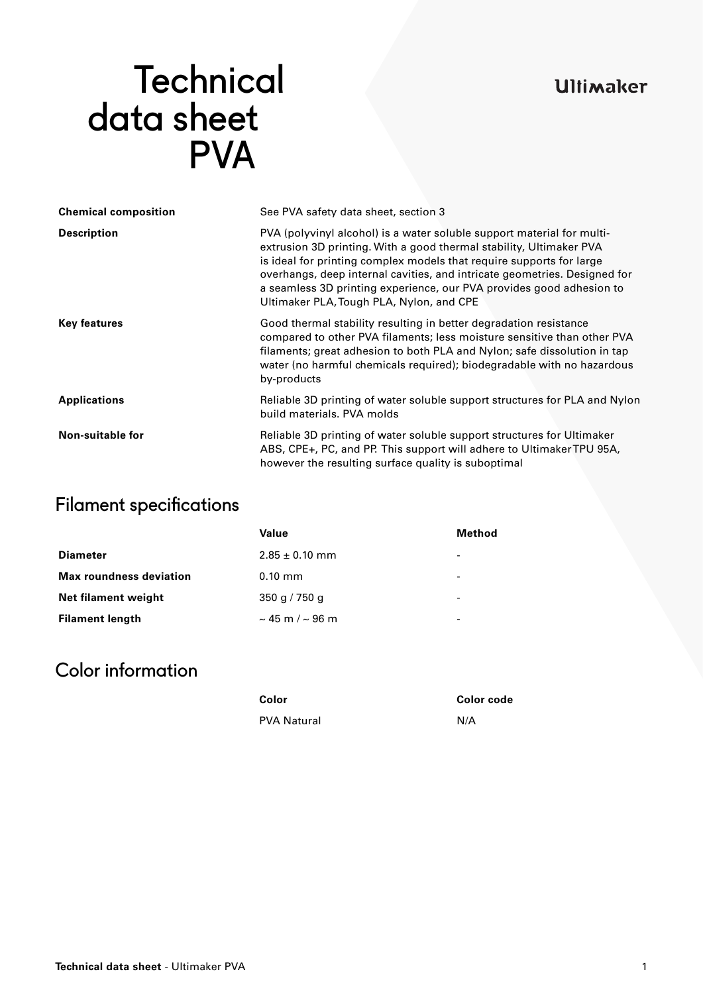### **Ultimaker**

# **Technical**  data sheet **PVA**

| <b>Chemical composition</b> | See PVA safety data sheet, section 3                                                                                                                                                                                                                                                                                                                                                                                   |  |
|-----------------------------|------------------------------------------------------------------------------------------------------------------------------------------------------------------------------------------------------------------------------------------------------------------------------------------------------------------------------------------------------------------------------------------------------------------------|--|
| <b>Description</b>          | PVA (polyvinyl alcohol) is a water soluble support material for multi-<br>extrusion 3D printing. With a good thermal stability, Ultimaker PVA<br>is ideal for printing complex models that require supports for large<br>overhangs, deep internal cavities, and intricate geometries. Designed for<br>a seamless 3D printing experience, our PVA provides good adhesion to<br>Ultimaker PLA, Tough PLA, Nylon, and CPE |  |
| <b>Key features</b>         | Good thermal stability resulting in better degradation resistance<br>compared to other PVA filaments; less moisture sensitive than other PVA<br>filaments; great adhesion to both PLA and Nylon; safe dissolution in tap<br>water (no harmful chemicals required); biodegradable with no hazardous<br>by-products                                                                                                      |  |
| <b>Applications</b>         | Reliable 3D printing of water soluble support structures for PLA and Nylon<br>build materials. PVA molds                                                                                                                                                                                                                                                                                                               |  |
| <b>Non-suitable for</b>     | Reliable 3D printing of water soluble support structures for Ultimaker<br>ABS, CPE+, PC, and PP. This support will adhere to Ultimaker TPU 95A,<br>however the resulting surface quality is suboptimal                                                                                                                                                                                                                 |  |

# Filament specifications

|                                | Value                     | Method                   |
|--------------------------------|---------------------------|--------------------------|
| <b>Diameter</b>                | $2.85 \pm 0.10$ mm        | $\overline{\phantom{a}}$ |
| <b>Max roundness deviation</b> | $0.10$ mm                 | $\overline{\phantom{a}}$ |
| Net filament weight            | 350 g / 750 g             | $\overline{\phantom{a}}$ |
| <b>Filament length</b>         | $\sim$ 45 m / $\sim$ 96 m | $\overline{\phantom{a}}$ |

# Color information

| Color              | Color code |
|--------------------|------------|
| <b>PVA Natural</b> | N/A        |